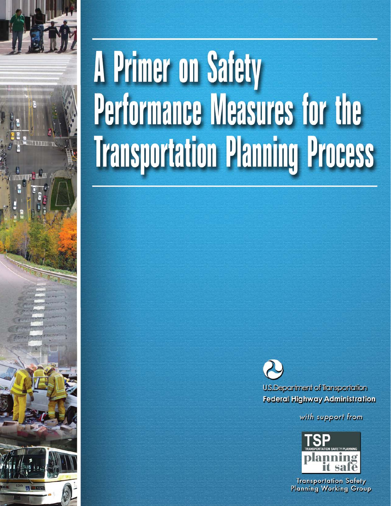

# **A Primer on Safety** Performance Measures for the **Transportation Planning Process**

U.S. Department of Transportation **Federal Highway Administration** 

with support from



**Transportation Safety Planning Working Group**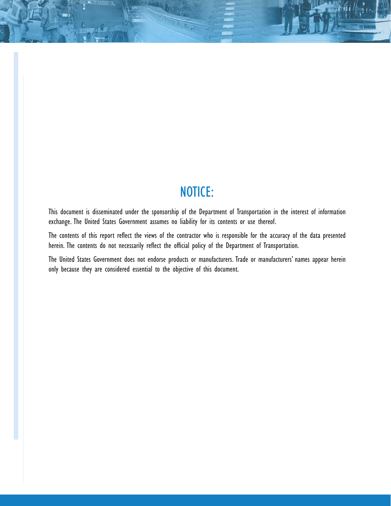# NOTICE:

This document is disseminated under the sponsorship of the Department of Transportation in the interest of information exchange. The United States Government assumes no liability for its contents or use thereof.

The contents of this report reflect the views of the contractor who is responsible for the accuracy of the data presented herein. The contents do not necessarily reflect the official policy of the Department of Transportation.

The United States Government does not endorse products or manufacturers. Trade or manufacturers' names appear herein only because they are considered essential to the objective of this document.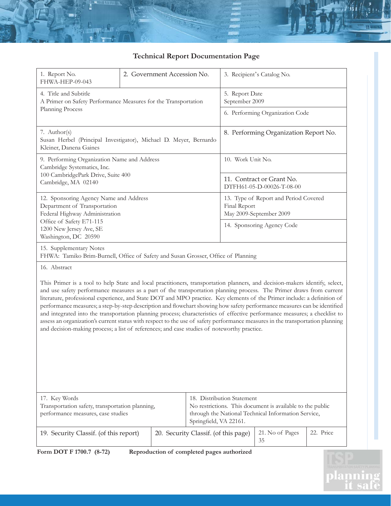# **Technical Report Documentation Page**

| 1. Report No.<br>FHWA-HEP-09-043                                                                                                                                                                                                                                                                                                                                                                                                                                                                                                                                                                                                                                                                                                                                                                                                                                         |  | 2. Government Accession No.          |                                                                                                                  |                                                                                  | 3. Recipient's Catalog No. |           |
|--------------------------------------------------------------------------------------------------------------------------------------------------------------------------------------------------------------------------------------------------------------------------------------------------------------------------------------------------------------------------------------------------------------------------------------------------------------------------------------------------------------------------------------------------------------------------------------------------------------------------------------------------------------------------------------------------------------------------------------------------------------------------------------------------------------------------------------------------------------------------|--|--------------------------------------|------------------------------------------------------------------------------------------------------------------|----------------------------------------------------------------------------------|----------------------------|-----------|
| 4. Title and Subtitle<br>A Primer on Safety Performance Measures for the Transportation<br>Planning Process                                                                                                                                                                                                                                                                                                                                                                                                                                                                                                                                                                                                                                                                                                                                                              |  |                                      | 5. Report Date<br>September 2009                                                                                 |                                                                                  |                            |           |
|                                                                                                                                                                                                                                                                                                                                                                                                                                                                                                                                                                                                                                                                                                                                                                                                                                                                          |  |                                      |                                                                                                                  | 6. Performing Organization Code                                                  |                            |           |
| 7. Author(s)<br>Susan Herbel (Principal Investigator), Michael D. Meyer, Bernardo<br>Kleiner, Danena Gaines                                                                                                                                                                                                                                                                                                                                                                                                                                                                                                                                                                                                                                                                                                                                                              |  |                                      |                                                                                                                  | 8. Performing Organization Report No.                                            |                            |           |
| 9. Performing Organization Name and Address<br>Cambridge Systematics, Inc.                                                                                                                                                                                                                                                                                                                                                                                                                                                                                                                                                                                                                                                                                                                                                                                               |  |                                      |                                                                                                                  | 10. Work Unit No.                                                                |                            |           |
| 100 CambridgePark Drive, Suite 400<br>Cambridge, MA 02140                                                                                                                                                                                                                                                                                                                                                                                                                                                                                                                                                                                                                                                                                                                                                                                                                |  |                                      |                                                                                                                  | 11. Contract or Grant No.<br>DTFH61-05-D-00026-T-08-00                           |                            |           |
| 12. Sponsoring Agency Name and Address<br>Department of Transportation<br>Federal Highway Administration                                                                                                                                                                                                                                                                                                                                                                                                                                                                                                                                                                                                                                                                                                                                                                 |  |                                      |                                                                                                                  | 13. Type of Report and Period Covered<br>Final Report<br>May 2009-September 2009 |                            |           |
| Office of Safety E71-115<br>1200 New Jersey Ave, SE<br>Washington, DC 20590                                                                                                                                                                                                                                                                                                                                                                                                                                                                                                                                                                                                                                                                                                                                                                                              |  |                                      | 14. Sponsoring Agency Code                                                                                       |                                                                                  |                            |           |
| 15. Supplementary Notes<br>FHWA: Tamiko Brim-Burnell, Office of Safety and Susan Grosser, Office of Planning                                                                                                                                                                                                                                                                                                                                                                                                                                                                                                                                                                                                                                                                                                                                                             |  |                                      |                                                                                                                  |                                                                                  |                            |           |
| 16. Abstract                                                                                                                                                                                                                                                                                                                                                                                                                                                                                                                                                                                                                                                                                                                                                                                                                                                             |  |                                      |                                                                                                                  |                                                                                  |                            |           |
| This Primer is a tool to help State and local practitioners, transportation planners, and decision-makers identify, select,<br>and use safety performance measures as a part of the transportation planning process. The Primer draws from current<br>literature, professional experience, and State DOT and MPO practice. Key elements of the Primer include: a definition of<br>performance measures; a step-by-step description and flowchart showing how safety performance measures can be identified<br>and integrated into the transportation planning process; characteristics of effective performance measures; a checklist to<br>assess an organization's current status with respect to the use of safety performance measures in the transportation planning<br>and decision-making process; a list of references; and case studies of noteworthy practice. |  |                                      |                                                                                                                  |                                                                                  |                            |           |
| 18. Distribution Statement<br>17. Key Words                                                                                                                                                                                                                                                                                                                                                                                                                                                                                                                                                                                                                                                                                                                                                                                                                              |  |                                      |                                                                                                                  |                                                                                  |                            |           |
| Transportation safety, transportation planning,<br>performance measures, case studies                                                                                                                                                                                                                                                                                                                                                                                                                                                                                                                                                                                                                                                                                                                                                                                    |  | Springfield, VA 22161.               | No restrictions. This document is available to the public<br>through the National Technical Information Service, |                                                                                  |                            |           |
| 19. Security Classif. (of this report)                                                                                                                                                                                                                                                                                                                                                                                                                                                                                                                                                                                                                                                                                                                                                                                                                                   |  | 20. Security Classif. (of this page) |                                                                                                                  |                                                                                  | 21. No of Pages<br>35      | 22. Price |

Form DOT F 1700.7 (8-72) Reproduction of completed pages authorized

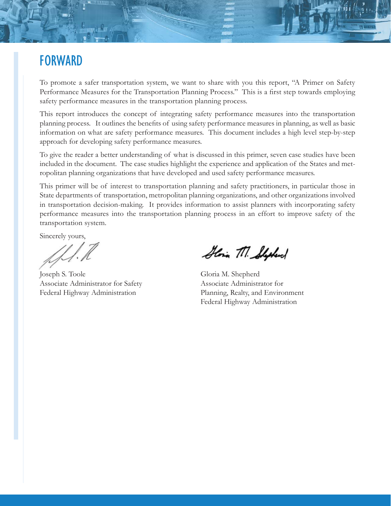# FORWARD

To promote a safer transportation system, we want to share with you this report, "A Primer on Safety Performance Measures for the Transportation Planning Process." This is a first step towards employing safety performance measures in the transportation planning process.

This report introduces the concept of integrating safety performance measures into the transportation planning process. It outlines the benefits of using safety performance measures in planning, as well as basic information on what are safety performance measures. This document includes a high level step-by-step approach for developing safety performance measures.

To give the reader a better understanding of what is discussed in this primer, seven case studies have been included in the document. The case studies highlight the experience and application of the States and metropolitan planning organizations that have developed and used safety performance measures.

This primer will be of interest to transportation planning and safety practitioners, in particular those in State departments of transportation, metropolitan planning organizations, and other organizations involved in transportation decision-making. It provides information to assist planners with incorporating safety performance measures into the transportation planning process in an effort to improve safety of the transportation system.

Sincerely yours,

Joseph S. Toole Gloria M. Shepherd Associate Administrator for Safety Associate Administrator for

Storia T. Shopkerd

Federal Highway Administration Planning, Realty, and Environment Federal Highway Administration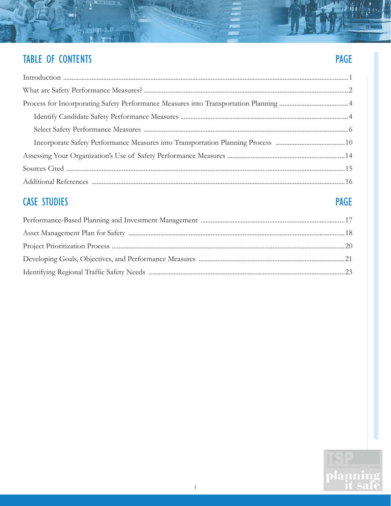# **TABLE OF CONTENTS**

# CASE STUDIES

# **PAGE**

**PAGE** 

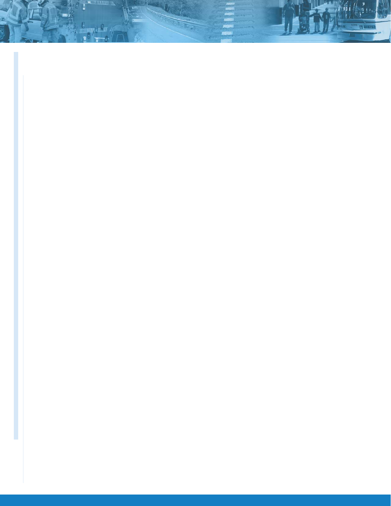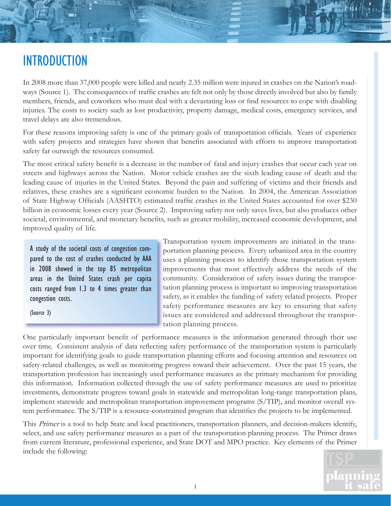# INTRODUCTION

In 2008 more than 37,000 people were killed and nearly 2.35 million were injured in crashes on the Nation's roadways (Source 1). The consequences of traffic crashes are felt not only by those directly involved but also by family members, friends, and coworkers who must deal with a devastating loss or find resources to cope with disabling injuries. The costs to society such as lost productivity, property damage, medical costs, emergency services, and travel delays are also tremendous.

For these reasons improving safety is one of the primary goals of transportation officials. Years of experience with safety projects and strategies have shown that benefits associated with efforts to improve transportation safety far outweigh the resources consumed.

The most critical safety benefit is a decrease in the number of fatal and injury crashes that occur each year on streets and highways across the Nation. Motor vehicle crashes are the sixth leading cause of death and the leading cause of injuries in the United States. Beyond the pain and suffering of victims and their friends and relatives, these crashes are a significant economic burden to the Nation. In 2004, the American Association of State Highway Officials (AASHTO) estimated traffic crashes in the United States accounted for over \$230 billion in economic losses every year (Source 2). Improving safety not only saves lives, but also produces other societal, environmental, and monetary benefits, such as greater mobility, increased economic development, and improved quality of life.

A study of the societal costs of congestion compared to the cost of crashes conducted by AAA in 2008 showed in the top 85 metropolitan areas in the United States crash per capita costs ranged from 1.3 to 4 times greater than congestion costs.

(Source 3)

Transportation system improvements are initiated in the transportation planning process. Every urbanized area in the country uses a planning process to identify those transportation system improvements that most effectively address the needs of the community. Consideration of safety issues during the transportation planning process is important to improving transportation safety, as it enables the funding of safety related projects. Proper safety performance measures are key to ensuring that safety issues are considered and addressed throughout the transportation planning process.

One particularly important benefit of performance measures is the information generated through their use over time. Consistent analysis of data reflecting safety performance of the transportation system is particularly important for identifying goals to guide transportation planning efforts and focusing attention and resources on safety-related challenges, as well as monitoring progress toward their achievement. Over the past 15 years, the transportation profession has increasingly used performance measures as the primary mechanism for providing this information. Information collected through the use of safety performance measures are used to prioritize investments, demonstrate progress toward goals in statewide and metropolitan long-range transportation plans, implement statewide and metropolitan transportation improvement programs (S/TIP), and monitor overall system performance. The S/TIP is a resource-constrained program that identifies the projects to be implemented.

This *Primer* is a tool to help State and local practitioners, transportation planners, and decision-makers identify, select, and use safety performance measures as a part of the transportation planning process. The Primer draws from current literature, professional experience, and State DOT and MPO practice. Key elements of the Primer include the following:

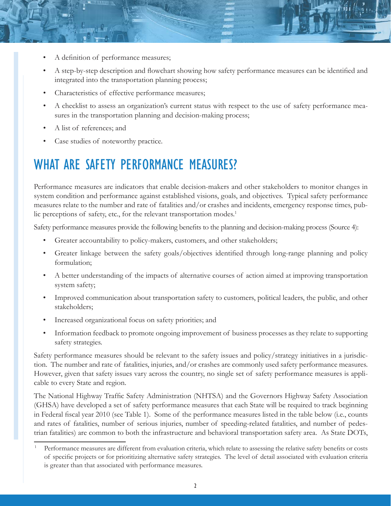- A definition of performance measures;
- A step-by-step description and flowchart showing how safety performance measures can be identified and integrated into the transportation planning process;
- Characteristics of effective performance measures;
- A checklist to assess an organization's current status with respect to the use of safety performance measures in the transportation planning and decision-making process;
- A list of references; and
- Case studies of noteworthy practice.

# WHAT ARE SAFETY PERFORMANCE MEASURES?

Performance measures are indicators that enable decision-makers and other stakeholders to monitor changes in system condition and performance against established visions, goals, and objectives. Typical safety performance measures relate to the number and rate of fatalities and/or crashes and incidents, emergency response times, public perceptions of safety, etc., for the relevant transportation modes.<sup>1</sup>

Safety performance measures provide the following benefits to the planning and decision-making process (Source 4):

- Greater accountability to policy-makers, customers, and other stakeholders;
- Greater linkage between the safety goals/objectives identified through long-range planning and policy formulation;
- A better understanding of the impacts of alternative courses of action aimed at improving transportation system safety;
- Improved communication about transportation safety to customers, political leaders, the public, and other stakeholders;
- Increased organizational focus on safety priorities; and
- Information feedback to promote ongoing improvement of business processes as they relate to supporting safety strategies.

Safety performance measures should be relevant to the safety issues and policy/strategy initiatives in a jurisdiction. The number and rate of fatalities, injuries, and/or crashes are commonly used safety performance measures. However, given that safety issues vary across the country, no single set of safety performance measures is applicable to every State and region.

The National Highway Traffic Safety Administration (NHTSA) and the Governors Highway Safety Association (GHSA) have developed a set of safety performance measures that each State will be required to track beginning in Federal fiscal year 2010 (see Table 1). Some of the performance measures listed in the table below (i.e., counts and rates of fatalities, number of serious injuries, number of speeding-related fatalities, and number of pedestrian fatalities) are common to both the infrastructure and behavioral transportation safety area. As State DOTs,

<sup>1</sup> Performance measures are different from evaluation criteria, which relate to assessing the relative safety benefits or costs of specific projects or for prioritizing alternative safety strategies. The level of detail associated with evaluation criteria is greater than that associated with performance measures.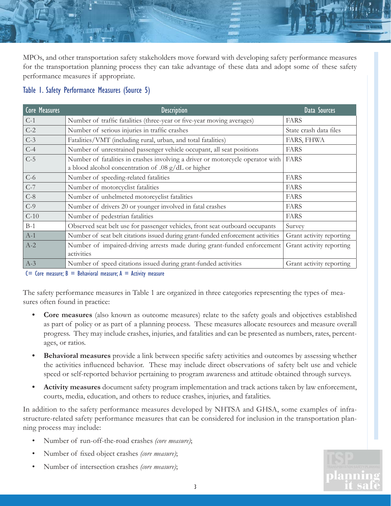MPOs, and other transportation safety stakeholders move forward with developing safety performance measures for the transportation planning process they can take advantage of these data and adopt some of these safety performance measures if appropriate.

# Table 1. Safety Performance Measures (Source 5)

| <b>Core Measures</b> | <b>Description</b>                                                                                                                    | Data Sources             |
|----------------------|---------------------------------------------------------------------------------------------------------------------------------------|--------------------------|
| $C-1$                | Number of traffic fatalities (three-year or five-year moving averages)                                                                | <b>FARS</b>              |
| $C-2$                | Number of serious injuries in traffic crashes                                                                                         | State crash data files   |
| $C-3$                | Fatalities/VMT (including rural, urban, and total fatalities)                                                                         | FARS, FHWA               |
| $C-4$                | Number of unrestrained passenger vehicle occupant, all seat positions                                                                 | <b>FARS</b>              |
| $C-5$                | Number of fatalities in crashes involving a driver or motorcycle operator with<br>a blood alcohol concentration of .08 g/dL or higher | <b>FARS</b>              |
| $C-6$                | Number of speeding-related fatalities                                                                                                 | <b>FARS</b>              |
| $C-7$                | Number of motorcyclist fatalities                                                                                                     | FARS                     |
| $C-8$                | Number of unhelmeted motorcyclist fatalities                                                                                          | <b>FARS</b>              |
| $C-9$                | Number of drivers 20 or younger involved in fatal crashes                                                                             | <b>FARS</b>              |
| $C-10$               | Number of pedestrian fatalities                                                                                                       | <b>FARS</b>              |
| $B-1$                | Observed seat belt use for passenger vehicles, front seat outboard occupants                                                          | Survey                   |
| $A-1$                | Number of seat belt citations issued during grant-funded enforcement activities                                                       | Grant activity reporting |
| $A-2$                | Number of impaired-driving arrests made during grant-funded enforcement<br>activities                                                 | Grant activity reporting |
| $A-3$                | Number of speed citations issued during grant-funded activities                                                                       | Grant activity reporting |

C= Core measure;  $B =$  Behavioral measure;  $A =$  Activity measure

The safety performance measures in Table 1 are organized in three categories representing the types of measures often found in practice:

- Core measures (also known as outcome measures) relate to the safety goals and objectives established as part of policy or as part of a planning process. These measures allocate resources and measure overall progress. They may include crashes, injuries, and fatalities and can be presented as numbers, rates, percentages, or ratios.
- **Behavioral measures** provide a link between specific safety activities and outcomes by assessing whether the activities influenced behavior. These may include direct observations of safety belt use and vehicle speed or self-reported behavior pertaining to program awareness and attitude obtained through surveys.
- **Activity measures** document safety program implementation and track actions taken by law enforcement, courts, media, education, and others to reduce crashes, injuries, and fatalities.

In addition to the safety performance measures developed by NHTSA and GHSA, some examples of infrastructure-related safety performance measures that can be considered for inclusion in the transportation planning process may include:

- Number of run-off-the-road crashes *(core measure)*;
- Number of fixed object crashes *(core measure)*;
- Number of intersection crashes *(core measure)*;

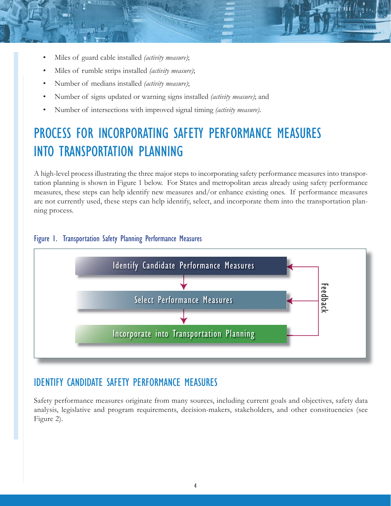• Miles of guard cable installed *(activity measure)*;

.<br>Muham arun -

- Miles of rumble strips installed *(activity measure)*;
- Number of medians installed *(activity measure)*;
- Number of signs updated or warning signs installed *(activity measure)*; and
- Number of intersections with improved signal timing *(activity measure)*.

# PROCESS FOR INCORPORATING SAFETY PERFORMANCE MEASURES INTO TRANSPORTATION PLANNING

A high-level process illustrating the three major steps to incorporating safety performance measures into transportation planning is shown in Figure 1 below. For States and metropolitan areas already using safety performance measures, these steps can help identify new measures and/or enhance existing ones. If performance measures are not currently used, these steps can help identify, select, and incorporate them into the transportation planning process.

# Figure 1. Transportation Safety Planning Performance Measures



# IDENTIFY CANDIDATE SAFETY PERFORMANCE MEASURES

Safety performance measures originate from many sources, including current goals and objectives, safety data analysis, legislative and program requirements, decision-makers, stakeholders, and other constituencies (see Figure 2).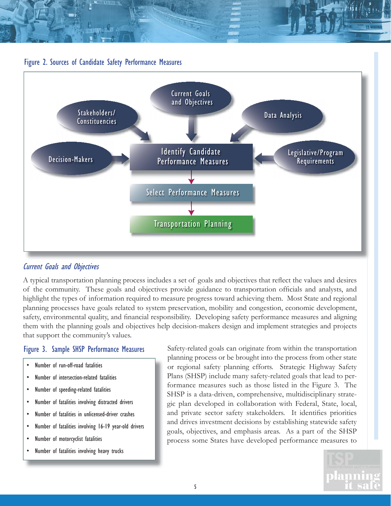

and arm



## Current Goals and Objectives

A typical transportation planning process includes a set of goals and objectives that reflect the values and desires of the community. These goals and objectives provide guidance to transportation officials and analysts, and highlight the types of information required to measure progress toward achieving them. Most State and regional planning processes have goals related to system preservation, mobility and congestion, economic development, safety, environmental quality, and financial responsibility. Developing safety performance measures and aligning them with the planning goals and objectives help decision-makers design and implement strategies and projects that support the community's values.

## Figure 3. Sample SHSP Performance Measures

- Number of run-off-road fatalities
- Number of intersection-related fatalities
- Number of speeding-related fatalities
- Number of fatalities involving distracted drivers
- Number of fatalities in unlicensed-driver crashes
- Number of fatalities involving 16-19 year-old drivers
- Number of motorcyclist fatalities
- Number of fatalities involving heavy trucks

Safety-related goals can originate from within the transportation planning process or be brought into the process from other state or regional safety planning efforts. Strategic Highway Safety Plans (SHSP) include many safety-related goals that lead to performance measures such as those listed in the Figure 3. The SHSP is a data-driven, comprehensive, multidisciplinary strategic plan developed in collaboration with Federal, State, local, and private sector safety stakeholders. It identifies priorities and drives investment decisions by establishing statewide safety goals, objectives, and emphasis areas. As a part of the SHSP process some States have developed performance measures to

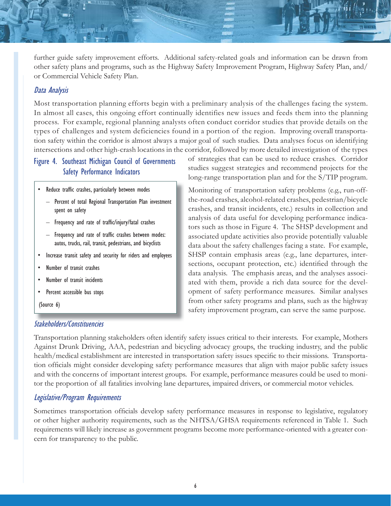further guide safety improvement efforts. Additional safety-related goals and information can be drawn from other safety plans and programs, such as the Highway Safety Improvement Program, Highway Safety Plan, and/ or Commercial Vehicle Safety Plan.

## Data Analysis

Most transportation planning efforts begin with a preliminary analysis of the challenges facing the system. In almost all cases, this ongoing effort continually identifies new issues and feeds them into the planning process. For example, regional planning analysts often conduct corridor studies that provide details on the types of challenges and system deficiencies found in a portion of the region. Improving overall transportation safety within the corridor is almost always a major goal of such studies. Data analyses focus on identifying intersections and other high-crash locations in the corridor, followed by more detailed investigation of the types

# Figure 4. Southeast Michigan Council of Governments Safety Performance Indicators

- Reduce traffic crashes, particularly between modes
	- Percent of total Regional Transportation Plan investment spent on safety
	- $-$  Frequency and rate of traffic/injury/fatal crashes
	- $-$  Frequency and rate of traffic crashes between modes: autos, trucks, rail, transit, pedestrians, and bicyclists
- Increase transit safety and security for riders and employees
- Number of transit crashes
- Number of transit incidents
- Percent accessible bus stops

(Source 6)

#### Stakeholders/Constituencies

of strategies that can be used to reduce crashes. Corridor studies suggest strategies and recommend projects for the long-range transportation plan and for the S/TIP program.

Monitoring of transportation safety problems (e.g., run-offthe-road crashes, alcohol-related crashes, pedestrian/bicycle crashes, and transit incidents, etc.) results in collection and analysis of data useful for developing performance indicators such as those in Figure 4. The SHSP development and associated update activities also provide potentially valuable data about the safety challenges facing a state. For example, SHSP contain emphasis areas (e.g., lane departures, intersections, occupant protection, etc.) identified through the data analysis. The emphasis areas, and the analyses associated with them, provide a rich data source for the development of safety performance measures. Similar analyses from other safety programs and plans, such as the highway safety improvement program, can serve the same purpose.

Transportation planning stakeholders often identify safety issues critical to their interests. For example, Mothers Against Drunk Driving, AAA, pedestrian and bicycling advocacy groups, the trucking industry, and the public health/medical establishment are interested in transportation safety issues specific to their missions. Transportation officials might consider developing safety performance measures that align with major public safety issues and with the concerns of important interest groups. For example, performance measures could be used to monitor the proportion of all fatalities involving lane departures, impaired drivers, or commercial motor vehicles.

## Legislative/Program Requirements

Sometimes transportation officials develop safety performance measures in response to legislative, regulatory or other higher authority requirements, such as the NHTSA/GHSA requirements referenced in Table 1. Such requirements will likely increase as government programs become more performance-oriented with a greater concern for transparency to the public.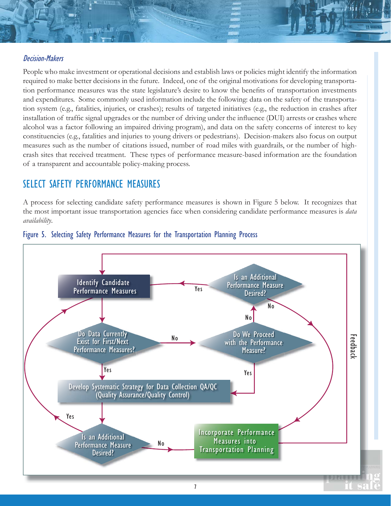## Decision-Makers

People who make investment or operational decisions and establish laws or policies might identify the information required to make better decisions in the future. Indeed, one of the original motivations for developing transportation performance measures was the state legislature's desire to know the benefits of transportation investments and expenditures. Some commonly used information include the following: data on the safety of the transportation system (e.g., fatalities, injuries, or crashes); results of targeted initiatives (e.g., the reduction in crashes after installation of traffic signal upgrades or the number of driving under the influence (DUI) arrests or crashes where alcohol was a factor following an impaired driving program), and data on the safety concerns of interest to key constituencies (e.g., fatalities and injuries to young drivers or pedestrians). Decision-makers also focus on output measures such as the number of citations issued, number of road miles with guardrails, or the number of highcrash sites that received treatment. These types of performance measure-based information are the foundation of a transparent and accountable policy-making process.

# SELECT SAFETY PERFORMANCE MEASURES

andia aya

A process for selecting candidate safety performance measures is shown in Figure 5 below. It recognizes that the most important issue transportation agencies face when considering candidate performance measures is *data availability*.



## Figure 5. Selecting Safety Performance Measures for the Transportation Planning Process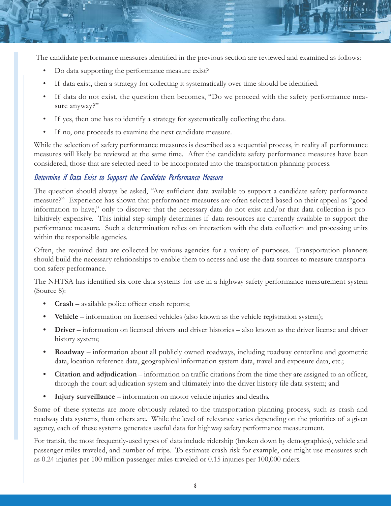The candidate performance measures identified in the previous section are reviewed and examined as follows:

- Do data supporting the performance measure exist?
- If data exist, then a strategy for collecting it systematically over time should be identified.
- If data do not exist, the question then becomes, "Do we proceed with the safety performance measure anyway?"
- If yes, then one has to identify a strategy for systematically collecting the data.
- If no, one proceeds to examine the next candidate measure.

While the selection of safety performance measures is described as a sequential process, in reality all performance measures will likely be reviewed at the same time. After the candidate safety performance measures have been considered, those that are selected need to be incorporated into the transportation planning process.

## Determine if Data Exist to Support the Candidate Performance Measure

The question should always be asked, "Are sufficient data available to support a candidate safety performance measure?" Experience has shown that performance measures are often selected based on their appeal as "good information to have," only to discover that the necessary data do not exist and/or that data collection is prohibitively expensive. This initial step simply determines if data resources are currently available to support the performance measure. Such a determination relies on interaction with the data collection and processing units within the responsible agencies.

Often, the required data are collected by various agencies for a variety of purposes. Transportation planners should build the necessary relationships to enable them to access and use the data sources to measure transportation safety performance.

The NHTSA has identified six core data systems for use in a highway safety performance measurement system (Source 8):

- **Crash** available police officer crash reports;
- **Vehicle** information on licensed vehicles (also known as the vehicle registration system);
- **Driver** information on licensed drivers and driver histories also known as the driver license and driver history system;
- **Roadway** information about all publicly owned roadways, including roadway centerline and geometric data, location reference data, geographical information system data, travel and exposure data, etc.;
- **Citation and adjudication** information on traffic citations from the time they are assigned to an officer, through the court adjudication system and ultimately into the driver history file data system; and
- **Injury surveillance** information on motor vehicle injuries and deaths.

Some of these systems are more obviously related to the transportation planning process, such as crash and roadway data systems, than others are. While the level of relevance varies depending on the priorities of a given agency, each of these systems generates useful data for highway safety performance measurement.

For transit, the most frequently-used types of data include ridership (broken down by demographics), vehicle and passenger miles traveled, and number of trips. To estimate crash risk for example, one might use measures such as 0.24 injuries per 100 million passenger miles traveled or 0.15 injuries per 100,000 riders.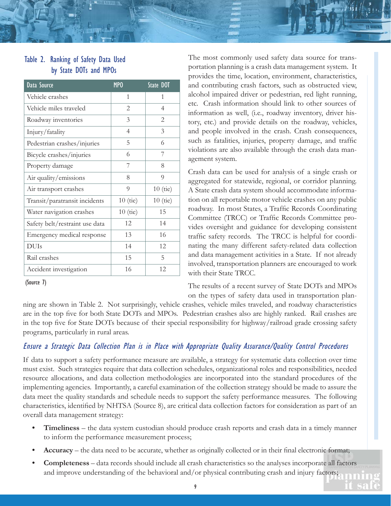|  | ,,,,,,,,,,,,,,,,, |  |
|--|-------------------|--|
|  |                   |  |
|  |                   |  |
|  |                   |  |
|  | m                 |  |
|  |                   |  |
|  |                   |  |
|  |                   |  |

|  | Table 2. Ranking of Safety Data Used |
|--|--------------------------------------|
|  | by State DOTs and MPOs               |

| Data Source                    | MP <sub>0</sub> | State DOT      |  |
|--------------------------------|-----------------|----------------|--|
| Vehicle crashes                | 1               | 1              |  |
| Vehicle miles traveled         | $\overline{2}$  | $\overline{4}$ |  |
| Roadway inventories            | 3               | $\overline{2}$ |  |
| Injury/fatality                | 4               | 3              |  |
| Pedestrian crashes/injuries    | 5               | 6              |  |
| Bicycle crashes/injuries       | 6               | 7              |  |
| Property damage                | 7               | 8              |  |
| Air quality/emissions          | 8               | 9              |  |
| Air transport crashes          | 9               | 10 (tie)       |  |
| Transit/paratransit incidents  | $10$ (tie)      | $10$ (tie)     |  |
| Water navigation crashes       | $10$ (tie)      | 15             |  |
| Safety belt/restraint use data | 12              | 14             |  |
| Emergency medical response     | 13              | 16             |  |
| <b>DUIs</b>                    | 14              | 12             |  |
| Rail crashes                   | 15              | 5              |  |
| Accident investigation         | 16              | 12             |  |

(Source 7)

The most commonly used safety data source for transportation planning is a crash data management system. It provides the time, location, environment, characteristics, and contributing crash factors, such as obstructed view, alcohol impaired driver or pedestrian, red light running, etc. Crash information should link to other sources of information as well, (i.e., roadway inventory, driver history, etc.) and provide details on the roadway, vehicles, and people involved in the crash. Crash consequences, such as fatalities, injuries, property damage, and traffic violations are also available through the crash data management system.

Crash data can be used for analysis of a single crash or aggregated for statewide, regional, or corridor planning. A State crash data system should accommodate information on all reportable motor vehicle crashes on any public roadway. In most States, a Traffic Records Coordinating Committee (TRCC) or Traffic Records Committee provides oversight and guidance for developing consistent traffic safety records. The TRCC is helpful for coordinating the many different safety-related data collection and data management activities in a State. If not already involved, transportation planners are encouraged to work with their State TRCC.

The results of a recent survey of State DOTs and MPOs on the types of safety data used in transportation plan-

ning are shown in Table 2. Not surprisingly, vehicle crashes, vehicle miles traveled, and roadway characteristics are in the top five for both State DOTs and MPOs. Pedestrian crashes also are highly ranked. Rail crashes are in the top five for State DOTs because of their special responsibility for highway/railroad grade crossing safety programs, particularly in rural areas.

# Ensure a Strategic Data Collection Plan is in Place with Appropriate Quality Assurance/Quality Control Procedures

If data to support a safety performance measure are available, a strategy for systematic data collection over time must exist. Such strategies require that data collection schedules, organizational roles and responsibilities, needed resource allocations, and data collection methodologies are incorporated into the standard procedures of the implementing agencies. Importantly, a careful examination of the collection strategy should be made to assure the data meet the quality standards and schedule needs to support the safety performance measures. The following characteristics, identified by NHTSA (Source 8), are critical data collection factors for consideration as part of an overall data management strategy:

- **Timeliness** the data system custodian should produce crash reports and crash data in a timely manner to inform the performance measurement process;
- **Accuracy** the data need to be accurate, whether as originally collected or in their final electronic format;
- **Completeness**  data records should include all crash characteristics so the analyses incorporate all factors and improve understanding of the behavioral and/or physical contributing crash and injury factors;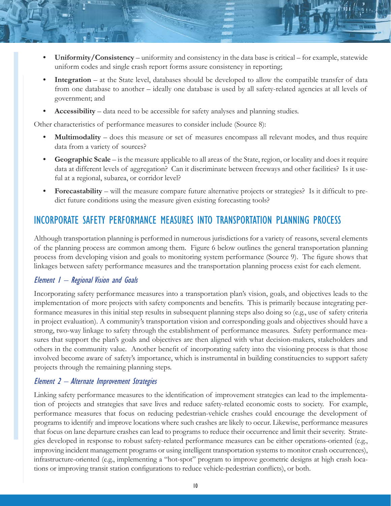- **Uniformity/Consistency**  uniformity and consistency in the data base is critical for example, statewide uniform codes and single crash report forms assure consistency in reporting;
- **Integration** at the State level, databases should be developed to allow the compatible transfer of data from one database to another – ideally one database is used by all safety-related agencies at all levels of government; and
- **Accessibility**  data need to be accessible for safety analyses and planning studies.

Other characteristics of performance measures to consider include (Source 8):

- **Multimodality** does this measure or set of measures encompass all relevant modes, and thus require data from a variety of sources?
- **Geographic Scale** is the measure applicable to all areas of the State, region, or locality and does it require data at different levels of aggregation? Can it discriminate between freeways and other facilities? Is it useful at a regional, subarea, or corridor level?
- **Forecastability** will the measure compare future alternative projects or strategies? Is it difficult to predict future conditions using the measure given existing forecasting tools?

# INCORPORATE SAFETY PERFORMANCE MEASURES INTO TRANSPORTATION PLANNING PROCESS

Although transportation planning is performed in numerous jurisdictions for a variety of reasons, several elements of the planning process are common among them. Figure 6 below outlines the general transportation planning process from developing vision and goals to monitoring system performance (Source 9). The figure shows that linkages between safety performance measures and the transportation planning process exist for each element.

# Element 1 – Regional Vision and Goals

Incorporating safety performance measures into a transportation plan's vision, goals, and objectives leads to the implementation of more projects with safety components and benefits. This is primarily because integrating performance measures in this initial step results in subsequent planning steps also doing so (e.g., use of safety criteria in project evaluation). A community's transportation vision and corresponding goals and objectives should have a strong, two-way linkage to safety through the establishment of performance measures. Safety performance measures that support the plan's goals and objectives are then aligned with what decision-makers, stakeholders and others in the community value. Another benefit of incorporating safety into the visioning process is that those involved become aware of safety's importance, which is instrumental in building constituencies to support safety projects through the remaining planning steps.

## Element 2 – Alternate Improvement Strategies

Linking safety performance measures to the identification of improvement strategies can lead to the implementation of projects and strategies that save lives and reduce safety-related economic costs to society. For example, performance measures that focus on reducing pedestrian-vehicle crashes could encourage the development of programs to identify and improve locations where such crashes are likely to occur. Likewise, performance measures that focus on lane departure crashes can lead to programs to reduce their occurrence and limit their severity. Strategies developed in response to robust safety-related performance measures can be either operations-oriented (e.g., improving incident management programs or using intelligent transportation systems to monitor crash occurrences), infrastructure-oriented (e.g., implementing a "hot-spot" program to improve geometric designs at high crash locations or improving transit station configurations to reduce vehicle-pedestrian conflicts), or both.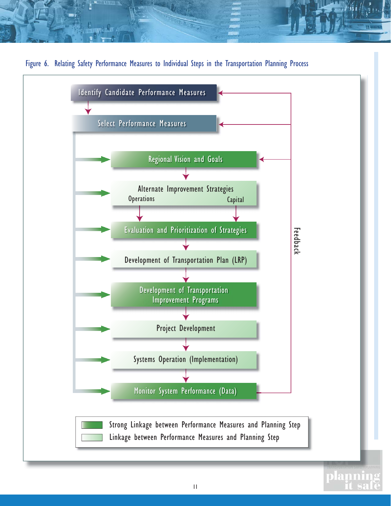

TITTI TILL

ninggi ara.



anni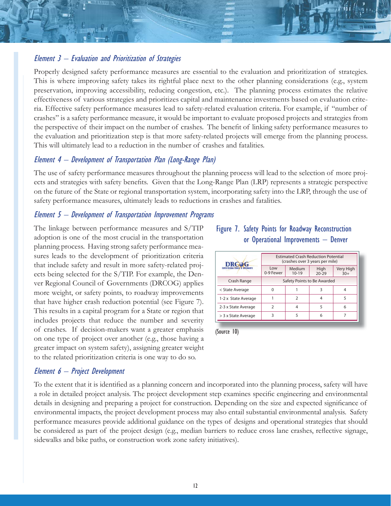## Element  $3$  – Evaluation and Prioritization of Strategies

Properly designed safety performance measures are essential to the evaluation and prioritization of strategies. This is where improving safety takes its rightful place next to the other planning considerations (e.g., system preservation, improving accessibility, reducing congestion, etc.). The planning process estimates the relative effectiveness of various strategies and prioritizes capital and maintenance investments based on evaluation criteria. Effective safety performance measures lead to safety-related evaluation criteria. For example, if "number of crashes" is a safety performance measure, it would be important to evaluate proposed projects and strategies from the perspective of their impact on the number of crashes. The benefi t of linking safety performance measures to the evaluation and prioritization step is that more safety-related projects will emerge from the planning process. This will ultimately lead to a reduction in the number of crashes and fatalities.

## Element 4 – Development of Transportation Plan (Long-Range Plan)

The use of safety performance measures throughout the planning process will lead to the selection of more projects and strategies with safety benefits. Given that the Long-Range Plan (LRP) represents a strategic perspective on the future of the State or regional transportation system, incorporating safety into the LRP, through the use of safety performance measures, ultimately leads to reductions in crashes and fatalities.

## Element 5 – Development of Transportation Improvement Programs

The linkage between performance measures and S/TIP adoption is one of the most crucial in the transportation planning process. Having strong safety performance measures leads to the development of prioritization criteria that include safety and result in more safety-related projects being selected for the S/TIP. For example, the Denver Regional Council of Governments (DRCOG) applies more weight, or safety points, to roadway improvements that have higher crash reduction potential (see Figure 7). This results in a capital program for a State or region that includes projects that reduce the number and severity of crashes. If decision-makers want a greater emphasis on one type of project over another (e.g., those having a greater impact on system safety), assigning greater weight to the related prioritization criteria is one way to do so.

# Figure 7. Safety Points for Roadway Reconstruction or Operational Improvements – Denver

|                                            | <b>Estimated Crash Reduction Potential</b><br>(crashes over 3 years per mile) |                     |                   |                    |  |
|--------------------------------------------|-------------------------------------------------------------------------------|---------------------|-------------------|--------------------|--|
| <b>TENTE TECHNIC CERRCIC DE GONTERMENT</b> | Low<br>0-9 Fewer                                                              | Medium<br>$10 - 19$ | High<br>$20 - 29$ | Very High<br>$30+$ |  |
| Crash Range                                | Safety Points to Be Awarded                                                   |                     |                   |                    |  |
| < State Average                            |                                                                               |                     |                   |                    |  |
| 1-2 x State Average                        |                                                                               |                     |                   |                    |  |
| 2-3 x State Average                        |                                                                               |                     |                   | 6                  |  |
| > 3 x State Average                        |                                                                               | 5                   | 6                 |                    |  |



## Element 6 – Project Development

To the extent that it is identified as a planning concern and incorporated into the planning process, safety will have a role in detailed project analysis. The project development step examines specific engineering and environmental details in designing and preparing a project for construction. Depending on the size and expected significance of environmental impacts, the project development process may also entail substantial environmental analysis. Safety performance measures provide additional guidance on the types of designs and operational strategies that should be considered as part of the project design (e.g., median barriers to reduce cross lane crashes, reflective signage, sidewalks and bike paths, or construction work zone safety initiatives).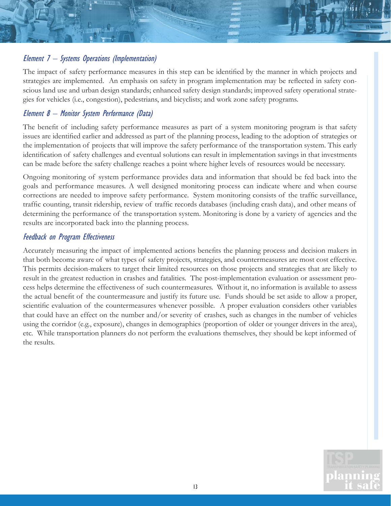# Element 7 – Systems Operations (Implementation)

The impact of safety performance measures in this step can be identified by the manner in which projects and strategies are implemented. An emphasis on safety in program implementation may be reflected in safety conscious land use and urban design standards; enhanced safety design standards; improved safety operational strategies for vehicles (i.e., congestion), pedestrians, and bicyclists; and work zone safety programs.

# Element 8 – Monitor System Performance (Data)

The benefit of including safety performance measures as part of a system monitoring program is that safety issues are identified earlier and addressed as part of the planning process, leading to the adoption of strategies or the implementation of projects that will improve the safety performance of the transportation system. This early identification of safety challenges and eventual solutions can result in implementation savings in that investments can be made before the safety challenge reaches a point where higher levels of resources would be necessary.

Ongoing monitoring of system performance provides data and information that should be fed back into the goals and performance measures. A well designed monitoring process can indicate where and when course corrections are needed to improve safety performance. System monitoring consists of the traffic surveillance, traffic counting, transit ridership, review of traffic records databases (including crash data), and other means of determining the performance of the transportation system. Monitoring is done by a variety of agencies and the results are incorporated back into the planning process.

## Feedback on Program Effectiveness

Accurately measuring the impact of implemented actions benefits the planning process and decision makers in that both become aware of what types of safety projects, strategies, and countermeasures are most cost effective. This permits decision-makers to target their limited resources on those projects and strategies that are likely to result in the greatest reduction in crashes and fatalities. The post-implementation evaluation or assessment process helps determine the effectiveness of such countermeasures. Without it, no information is available to assess the actual benefit of the countermeasure and justify its future use. Funds should be set aside to allow a proper, scientific evaluation of the countermeasures whenever possible. A proper evaluation considers other variables that could have an effect on the number and/or severity of crashes, such as changes in the number of vehicles using the corridor (e.g., exposure), changes in demographics (proportion of older or younger drivers in the area), etc. While transportation planners do not perform the evaluations themselves, they should be kept informed of the results.

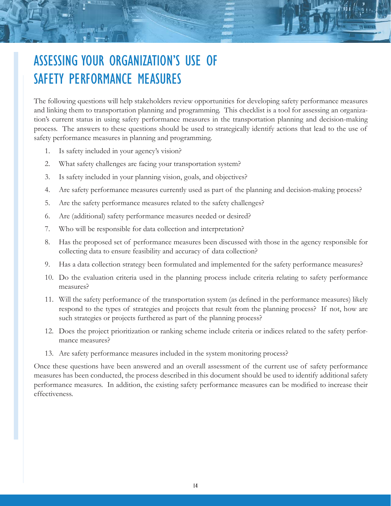# ASSESSING YOUR ORGANIZATION'S USE OF SAFETY PERFORMANCE MEASURES

The following questions will help stakeholders review opportunities for developing safety performance measures and linking them to transportation planning and programming. This checklist is a tool for assessing an organization's current status in using safety performance measures in the transportation planning and decision-making process. The answers to these questions should be used to strategically identify actions that lead to the use of safety performance measures in planning and programming.

- 1. Is safety included in your agency's vision?
- 2. What safety challenges are facing your transportation system?
- 3. Is safety included in your planning vision, goals, and objectives?
- 4. Are safety performance measures currently used as part of the planning and decision-making process?
- 5. Are the safety performance measures related to the safety challenges?
- 6. Are (additional) safety performance measures needed or desired?
- 7. Who will be responsible for data collection and interpretation?
- 8. Has the proposed set of performance measures been discussed with those in the agency responsible for collecting data to ensure feasibility and accuracy of data collection?
- 9. Has a data collection strategy been formulated and implemented for the safety performance measures?
- 10. Do the evaluation criteria used in the planning process include criteria relating to safety performance measures?
- 11. Will the safety performance of the transportation system (as defined in the performance measures) likely respond to the types of strategies and projects that result from the planning process? If not, how are such strategies or projects furthered as part of the planning process?
- 12. Does the project prioritization or ranking scheme include criteria or indices related to the safety performance measures?
- 13. Are safety performance measures included in the system monitoring process?

Once these questions have been answered and an overall assessment of the current use of safety performance measures has been conducted, the process described in this document should be used to identify additional safety performance measures. In addition, the existing safety performance measures can be modified to increase their effectiveness.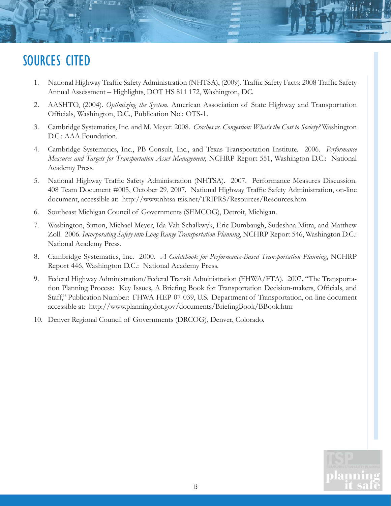# SOURCES CITED

- 1. National Highway Traffic Safety Administration (NHTSA), (2009). Traffic Safety Facts: 2008 Traffic Safety Annual Assessment – Highlights, DOT HS 811 172, Washington, DC.
- 2. AASHTO, (2004). *Optimizing the System*. American Association of State Highway and Transportation Officials, Washington, D.C., Publication No.: OTS-1.
- 3. Cambridge Systematics, Inc. and M. Meyer. 2008. *Crashes vs. Congestion: What's the Cost to Society?* Washington D.C.: AAA Foundation.
- 4. Cambridge Systematics, Inc., PB Consult, Inc., and Texas Transportation Institute. 2006. *Performance Measures and Targets for Transportation Asset Management*, NCHRP Report 551, Washington D.C.: National Academy Press.
- 5. National Highway Traffic Safety Administration (NHTSA). 2007. Performance Measures Discussion. 408 Team Document #005, October 29, 2007. National Highway Traffic Safety Administration, on-line document, accessible at: http://www.nhtsa-tsis.net/TRIPRS/Resources/Resources.htm.
- 6. Southeast Michigan Council of Governments (SEMCOG), Detroit, Michigan.
- 7. Washington, Simon, Michael Meyer, Ida Vah Schalkwyk, Eric Dumbaugh, Sudeshna Mitra, and Matthew Zoll. 2006. *Incorporating Safety into Long-Range Transportation-Planning*, NCHRP Report 546, Washington D.C.: National Academy Press.
- 8. Cambridge Systematics, Inc. 2000. *A Guidebook for Performance-Based Transportation Planning*, NCHRP Report 446, Washington D.C.: National Academy Press.
- 9. Federal Highway Administration/Federal Transit Administration (FHWA/FTA). 2007. "The Transportation Planning Process: Key Issues, A Briefing Book for Transportation Decision-makers, Officials, and Staff," Publication Number: FHWA-HEP-07-039, U.S. Department of Transportation, on-line document accessible at: http://www.planning.dot.gov/documents/BriefingBook/BBook.htm
- 10. Denver Regional Council of Governments (DRCOG), Denver, Colorado.

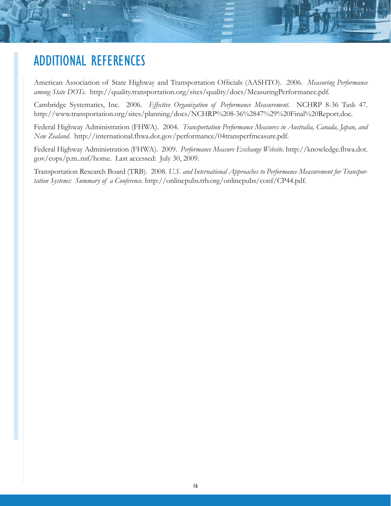# ADDITIONAL REFERENCES

American Association of State Highway and Transportation Officials (AASHTO). 2006. Measuring Performance *among State DOTs*. http://quality.transportation.org/sites/quality/docs/MeasuringPerformance.pdf.

Cambridge Systematics, Inc. 2006. *Effective Organization of Performance Measurement*. NCHRP 8-36 Task 47. http://www.transportation.org/sites/planning/docs/NCHRP%208-36%2847%29%20Final%20Report.doc.

Federal Highway Administration (FHWA). 2004. *Transportation Performance Measures in Australia, Canada, Japan, and New Zealand*. http://international.fhwa.dot.gov/performance/04transperfmeasure.pdf.

Federal Highway Administration (FHWA). 2009. *Performance Measure Exchange Website*. http://knowledge.fhwa.dot. gov/cops/p.m..nsf/home. Last accessed: July 30, 2009.

Transportation Research Board (TRB). 2008. *U.S. and International Approaches to Performance Measurement for Transportation Systems: Summary of a Conference*. http://onlinepubs.trb.org/onlinepubs/conf/CP44.pdf.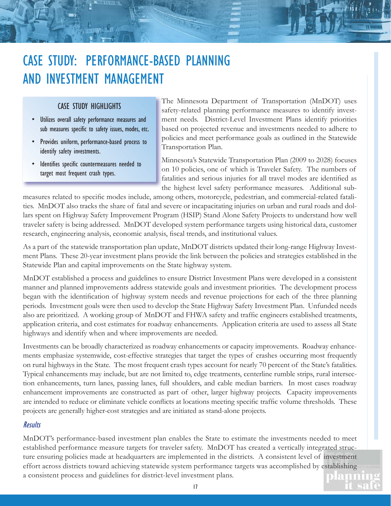# CASE STUDY: PERFORMANCE-BASED PLANNING AND INVESTMENT MANAGEMENT

# CASE STUDY HIGHLIGHTS

- Utilizes overall safety performance measures and sub measures specific to safety issues, modes, etc.
- Provides uniform, performance-based process to identify safety investments.
- Identifies specific countermeasures needed to target most frequent crash types.

The Minnesota Department of Transportation (MnDOT) uses safety-related planning performance measures to identify investment needs. District-Level Investment Plans identify priorities based on projected revenue and investments needed to adhere to policies and meet performance goals as outlined in the Statewide Transportation Plan.

Minnesota's Statewide Transportation Plan (2009 to 2028) focuses on 10 policies, one of which is Traveler Safety. The numbers of fatalities and serious injuries for all travel modes are identified as the highest level safety performance measures. Additional sub-

measures related to specific modes include, among others, motorcycle, pedestrian, and commercial-related fatalities. MnDOT also tracks the share of fatal and severe or incapacitating injuries on urban and rural roads and dollars spent on Highway Safety Improvement Program (HSIP) Stand Alone Safety Projects to understand how well traveler safety is being addressed. MnDOT developed system performance targets using historical data, customer research, engineering analysis, economic analysis, fiscal trends, and institutional values.

As a part of the statewide transportation plan update, MnDOT districts updated their long-range Highway Investment Plans. These 20-year investment plans provide the link between the policies and strategies established in the Statewide Plan and capital improvements on the State highway system.

MnDOT established a process and guidelines to ensure District Investment Plans were developed in a consistent manner and planned improvements address statewide goals and investment priorities. The development process began with the identification of highway system needs and revenue projections for each of the three planning periods. Investment goals were then used to develop the State Highway Safety Investment Plan. Unfunded needs also are prioritized. A working group of MnDOT and FHWA safety and traffic engineers established treatments, application criteria, and cost estimates for roadway enhancements. Application criteria are used to assess all State highways and identify when and where improvements are needed.

Investments can be broadly characterized as roadway enhancements or capacity improvements. Roadway enhancements emphasize systemwide, cost-effective strategies that target the types of crashes occurring most frequently on rural highways in the State. The most frequent crash types account for nearly 70 percent of the State's fatalities. Typical enhancements may include, but are not limited to, edge treatments, centerline rumble strips, rural intersection enhancements, turn lanes, passing lanes, full shoulders, and cable median barriers. In most cases roadway enhancement improvements are constructed as part of other, larger highway projects. Capacity improvements are intended to reduce or eliminate vehicle conflicts at locations meeting specific traffic volume thresholds. These projects are generally higher-cost strategies and are initiated as stand-alone projects.

# Results

MnDOT's performance-based investment plan enables the State to estimate the investments needed to meet established performance measure targets for traveler safety. MnDOT has created a vertically integrated structure ensuring policies made at headquarters are implemented in the districts. A consistent level of investment effort across districts toward achieving statewide system performance targets was accomplished by establishing a consistent process and guidelines for district-level investment plans.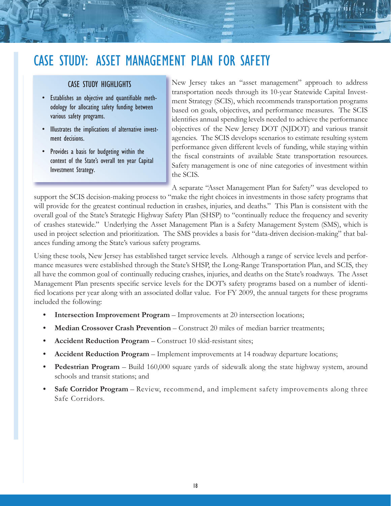# CASE STUDY: ASSET MANAGEMENT PLAN FOR SAFETY

# CASE STUDY HIGHLIGHTS

- Establishes an objective and quantifiable methodology for allocating safety funding between various safety programs.
- Illustrates the implications of alternative investment decisions.
- Provides a basis for budgeting within the context of the State's overall ten year Capital Investment Strategy.

New Jersey takes an "asset management" approach to address transportation needs through its 10-year Statewide Capital Investment Strategy (SCIS), which recommends transportation programs based on goals, objectives, and performance measures. The SCIS identifies annual spending levels needed to achieve the performance objectives of the New Jersey DOT (NJDOT) and various transit agencies. The SCIS develops scenarios to estimate resulting system performance given different levels of funding, while staying within the fiscal constraints of available State transportation resources. Safety management is one of nine categories of investment within the SCIS.

A separate "Asset Management Plan for Safety" was developed to A

support the SCIS decision-making process to "make the right choices in investments in those safety programs that will provide for the greatest continual reduction in crashes, injuries, and deaths." This Plan is consistent with the overall goal of the State's Strategic Highway Safety Plan (SHSP) to "continually reduce the frequency and severity of crashes statewide." Underlying the Asset Management Plan is a Safety Management System (SMS), which is used in project selection and prioritization. The SMS provides a basis for "data-driven decision-making" that balances funding among the State's various safety programs.

Using these tools, New Jersey has established target service levels. Although a range of service levels and performance measures were established through the State's SHSP, the Long-Range Transportation Plan, and SCIS, they all have the common goal of continually reducing crashes, injuries, and deaths on the State's roadways. The Asset Management Plan presents specific service levels for the DOT's safety programs based on a number of identified locations per year along with an associated dollar value. For FY 2009, the annual targets for these programs included the following:

- **Intersection Improvement Program** Improvements at 20 intersection locations;
- **Median Crossover Crash Prevention**  Construct 20 miles of median barrier treatments;
- **Accident Reduction Program** Construct 10 skid-resistant sites;
- **Accident Reduction Program**  Implement improvements at 14 roadway departure locations;
- **Pedestrian Program** Build 160,000 square yards of sidewalk along the state highway system, around schools and transit stations; and
- **Safe Corridor Program** Review, recommend, and implement safety improvements along three Safe Corridors.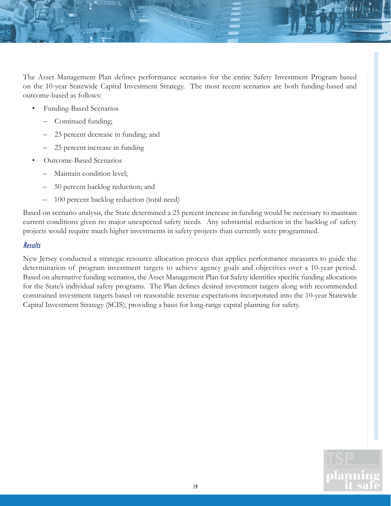

The Asset Management Plan defines performance scenarios for the entire Safety Investment Program based on the 10-year Statewide Capital Investment Strategy. The most recent scenarios are both funding-based and outcome-based as follows:

- Funding-Based Scenarios
	- Continued funding;
	- 25 percent decrease in funding; and
	- 25 percent increase in funding
- Outcome-Based Scenarios
	- Maintain condition level;
	- 50 percent backlog reduction; and
	- 100 percent backlog reduction (total need)

Based on scenario analysis, the State determined a 25 percent increase in funding would be necessary to maintain current conditions given no major unexpected safety needs. Any substantial reduction in the backlog of safety projects would require much higher investments in safety projects than currently were programmed.

## Results

New Jersey conducted a strategic resource allocation process that applies performance measures to guide the determination of program investment targets to achieve agency goals and objectives over a 10-year period. Based on alternative funding scenarios, the Asset Management Plan for Safety identifies specific funding allocations for the State's individual safety programs. The Plan defines desired investment targets along with recommended constrained investment targets based on reasonable revenue expectations incorporated into the 10-year Statewide Capital Investment Strategy (SCIS), providing a basis for long-range capital planning for safety.

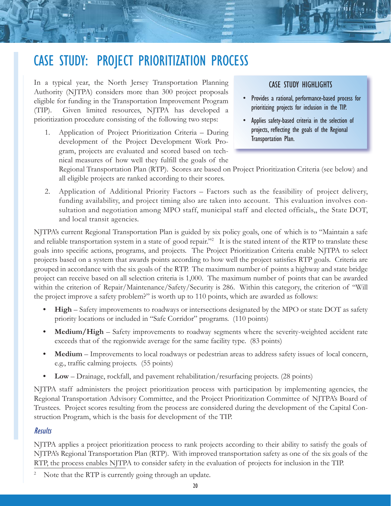# CASE STUDY: PROJECT PRIORITIZATION PROCESS

In a typical year, the North Jersey Transportation Planning Authority (NJTPA) considers more than 300 project proposals eligible for funding in the Transportation Improvement Program (TIP). Given limited resources, NJTPA has developed a prioritization procedure consisting of the following two steps:

1. Application of Project Prioritization Criteria – During development of the Project Development Work Program, projects are evaluated and scored based on technical measures of how well they fulfill the goals of the

## CASE STUDY HIGHLIGHTS

- Provides a rational, performance-based process for prioritizing projects for inclusion in the TIP.
- Applies safety-based criteria in the selection of projects, reflecting the goals of the Regional Transportation Plan.

Regional Transportation Plan (RTP). Scores are based on Project Prioritization Criteria (see below) and all eligible projects are ranked according to their scores.

2. Application of Additional Priority Factors – Factors such as the feasibility of project delivery, funding availability, and project timing also are taken into account. This evaluation involves consultation and negotiation among MPO staff, municipal staff and elected officials,, the State DOT, and local transit agencies.

NJTPA's current Regional Transportation Plan is guided by six policy goals, one of which is to "Maintain a safe and reliable transportation system in a state of good repair."<sup>2</sup> It is the stated intent of the RTP to translate these goals into specific actions, programs, and projects. The Project Prioritization Criteria enable NJTPA to select projects based on a system that awards points according to how well the project satisfies RTP goals. Criteria are grouped in accordance with the six goals of the RTP. The maximum number of points a highway and state bridge project can receive based on all selection criteria is 1,000. The maximum number of points that can be awarded within the criterion of Repair/Maintenance/Safety/Security is 286. Within this category, the criterion of "Will the project improve a safety problem?" is worth up to 110 points, which are awarded as follows:

- **High** Safety improvements to roadways or intersections designated by the MPO or state DOT as safety priority locations or included in "Safe Corridor" programs. (110 points)
- **Medium/High** Safety improvements to roadway segments where the severity-weighted accident rate exceeds that of the regionwide average for the same facility type. (83 points)
- **Medium** Improvements to local roadways or pedestrian areas to address safety issues of local concern, e.g., traffic calming projects. (55 points)
- **Low**  Drainage, rockfall, and pavement rehabilitation/resurfacing projects. (28 points)

NJTPA staff administers the project prioritization process with participation by implementing agencies, the Regional Transportation Advisory Committee, and the Project Prioritization Committee of NJTPA's Board of Trustees. Project scores resulting from the process are considered during the development of the Capital Construction Program, which is the basis for development of the TIP.

#### **Results**

NJTPA applies a project prioritization process to rank projects according to their ability to satisfy the goals of NJTPA's Regional Transportation Plan (RTP). With improved transportation safety as one of the six goals of the RTP, the process enables NJTPA to consider safety in the evaluation of projects for inclusion in the TIP.

2 Note that the RTP is currently going through an update.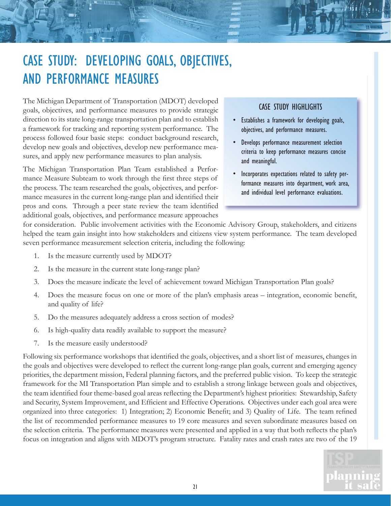# CASE STUDY: DEVELOPING GOALS, OBJECTIVES, AND PERFORMANCE MEASURES

The Michigan Department of Transportation (MDOT) developed goals, objectives, and performance measures to provide strategic direction to its state long-range transportation plan and to establish a framework for tracking and reporting system performance. The process followed four basic steps: conduct background research, develop new goals and objectives, develop new performance measures, and apply new performance measures to plan analysis.

The Michigan Transportation Plan Team established a Performance Measure Subteam to work through the first three steps of the process. The team researched the goals, objectives, and performance measures in the current long-range plan and identified their pros and cons. Through a peer state review the team identified additional goals, objectives, and performance measure approaches

## CASE STUDY HIGHLIGHTS

- Establishes a framework for developing goals, objectives, and performance measures.
- Develops performance measurement selection criteria to keep performance measures concise and meaningful.
- Incorporates expectations related to safety performance measures into department, work area, and individual level performance evaluations.

for consideration. Public involvement activities with the Economic Advisory Group, stakeholders, and citizens helped the team gain insight into how stakeholders and citizens view system performance. The team developed seven performance measurement selection criteria, including the following:

- 1. Is the measure currently used by MDOT?
- 2. Is the measure in the current state long-range plan?
- 3. Does the measure indicate the level of achievement toward Michigan Transportation Plan goals?
- 4. Does the measure focus on one or more of the plan's emphasis areas integration, economic benefit, and quality of life?
- 5. Do the measures adequately address a cross section of modes?
- 6. Is high-quality data readily available to support the measure?
- 7. Is the measure easily understood?

Following six performance workshops that identified the goals, objectives, and a short list of measures, changes in the goals and objectives were developed to reflect the current long-range plan goals, current and emerging agency priorities, the department mission, Federal planning factors, and the preferred public vision. To keep the strategic framework for the MI Transportation Plan simple and to establish a strong linkage between goals and objectives, the team identified four theme-based goal areas reflecting the Department's highest priorities: Stewardship, Safety and Security, System Improvement, and Efficient and Effective Operations. Objectives under each goal area were organized into three categories: 1) Integration; 2) Economic Benefit; and 3) Quality of Life. The team refined the list of recommended performance measures to 19 core measures and seven subordinate measures based on the selection criteria. The performance measures were presented and applied in a way that both reflects the plan's focus on integration and aligns with MDOT's program structure. Fatality rates and crash rates are two of the 19

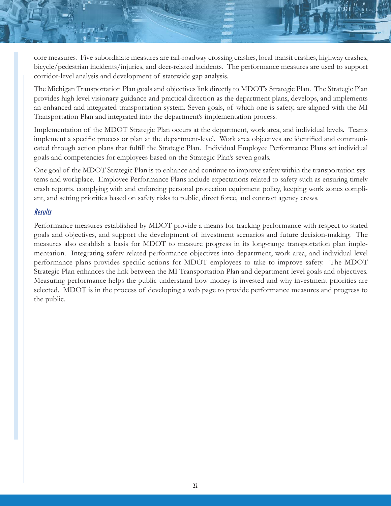core measures. Five subordinate measures are rail-roadway crossing crashes, local transit crashes, highway crashes, bicycle/pedestrian incidents/injuries, and deer-related incidents. The performance measures are used to support corridor-level analysis and development of statewide gap analysis.

The Michigan Transportation Plan goals and objectives link directly to MDOT's Strategic Plan. The Strategic Plan provides high level visionary guidance and practical direction as the department plans, develops, and implements an enhanced and integrated transportation system. Seven goals, of which one is safety, are aligned with the MI Transportation Plan and integrated into the department's implementation process.

Implementation of the MDOT Strategic Plan occurs at the department, work area, and individual levels. Teams implement a specific process or plan at the department-level. Work area objectives are identified and communicated through action plans that fulfill the Strategic Plan. Individual Employee Performance Plans set individual goals and competencies for employees based on the Strategic Plan's seven goals.

One goal of the MDOT Strategic Plan is to enhance and continue to improve safety within the transportation systems and workplace. Employee Performance Plans include expectations related to safety such as ensuring timely crash reports, complying with and enforcing personal protection equipment policy, keeping work zones compliant, and setting priorities based on safety risks to public, direct force, and contract agency crews.

#### Results

Performance measures established by MDOT provide a means for tracking performance with respect to stated goals and objectives, and support the development of investment scenarios and future decision-making. The measures also establish a basis for MDOT to measure progress in its long-range transportation plan implementation. Integrating safety-related performance objectives into department, work area, and individual-level performance plans provides specific actions for MDOT employees to take to improve safety. The MDOT Strategic Plan enhances the link between the MI Transportation Plan and department-level goals and objectives. Measuring performance helps the public understand how money is invested and why investment priorities are selected. MDOT is in the process of developing a web page to provide performance measures and progress to the public.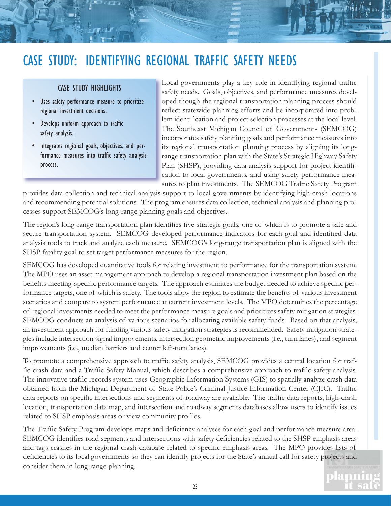# CASE STUDY: IDENTIFYING REGIONAL TRAFFIC SAFETY NEEDS

# CASE STUDY HIGHLIGHTS

- Uses safety performance measure to prioritize regional investment decisions.
- Develops uniform approach to traffic safety analysis.
- Integrates regional goals, objectives, and performance measures into traffic safety analysis process.

Local governments play a key role in identifying regional traffic safety needs. Goals, objectives, and performance measures developed though the regional transportation planning process should reflect statewide planning efforts and be incorporated into problem identification and project selection processes at the local level. The Southeast Michigan Council of Governments (SEMCOG) incorporates safety planning goals and performance measures into its regional transportation planning process by aligning its longrange transportation plan with the State's Strategic Highway Safety Plan (SHSP), providing data analysis support for project identification to local governments, and using safety performance measures to plan investments. The SEMCOG Traffic Safety Program

provides data collection and technical analysis support to local governments by identifying high-crash locations and recommending potential solutions. The program ensures data collection, technical analysis and planning processes support SEMCOG's long-range planning goals and objectives.

The region's long-range transportation plan identifies five strategic goals, one of which is to promote a safe and secure transportation system. SEMCOG developed performance indicators for each goal and identified data analysis tools to track and analyze each measure. SEMCOG's long-range transportation plan is aligned with the SHSP fatality goal to set target performance measures for the region.

SEMCOG has developed quantitative tools for relating investment to performance for the transportation system. The MPO uses an asset management approach to develop a regional transportation investment plan based on the benefits meeting-specific performance targets. The approach estimates the budget needed to achieve specific performance targets, one of which is safety. The tools allow the region to estimate the benefits of various investment scenarios and compare to system performance at current investment levels. The MPO determines the percentage of regional investments needed to meet the performance measure goals and prioritizes safety mitigation strategies. SEMCOG conducts an analysis of various scenarios for allocating available safety funds. Based on that analysis, an investment approach for funding various safety mitigation strategies is recommended. Safety mitigation strategies include intersection signal improvements, intersection geometric improvements (i.e., turn lanes), and segment improvements (i.e., median barriers and center left-turn lanes).

To promote a comprehensive approach to traffic safety analysis, SEMCOG provides a central location for traffic crash data and a Traffic Safety Manual, which describes a comprehensive approach to traffic safety analysis. The innovative traffic records system uses Geographic Information Systems (GIS) to spatially analyze crash data obtained from the Michigan Department of State Police's Criminal Justice Information Center (CJIC). Traffic data reports on specific intersections and segments of roadway are available. The traffic data reports, high-crash location, transportation data map, and intersection and roadway segments databases allow users to identify issues related to SHSP emphasis areas or view community profiles.

The Traffic Safety Program develops maps and deficiency analyses for each goal and performance measure area. SEMCOG identifies road segments and intersections with safety deficiencies related to the SHSP emphasis areas and tags crashes in the regional crash database related to specific emphasis areas. The MPO provides lists of deficiencies to its local governments so they can identify projects for the State's annual call for safety projects and consider them in long-range planning.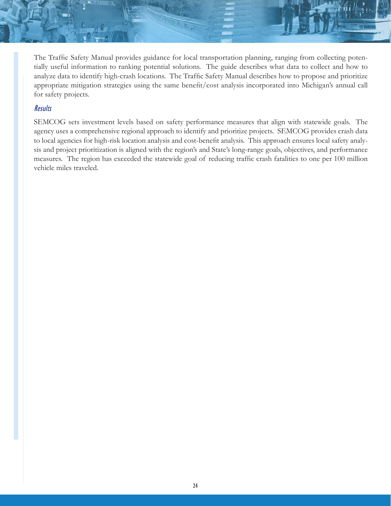The Traffic Safety Manual provides guidance for local transportation planning, ranging from collecting potentially useful information to ranking potential solutions. The guide describes what data to collect and how to analyze data to identify high-crash locations. The Traffic Safety Manual describes how to propose and prioritize appropriate mitigation strategies using the same benefit/cost analysis incorporated into Michigan's annual call for safety projects.

#### Results

SEMCOG sets investment levels based on safety performance measures that align with statewide goals. The agency uses a comprehensive regional approach to identify and prioritize projects. SEMCOG provides crash data to local agencies for high-risk location analysis and cost-benefit analysis. This approach ensures local safety analysis and project prioritization is aligned with the region's and State's long-range goals, objectives, and performance measures. The region has exceeded the statewide goal of reducing traffic crash fatalities to one per 100 million vehicle miles traveled.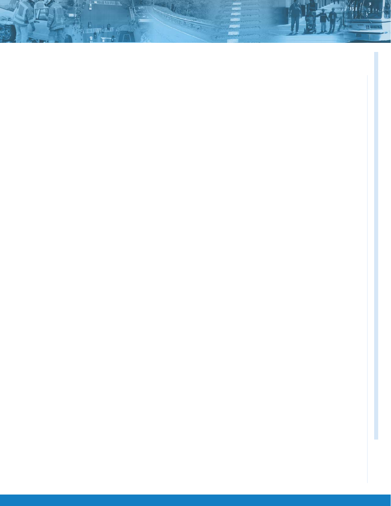